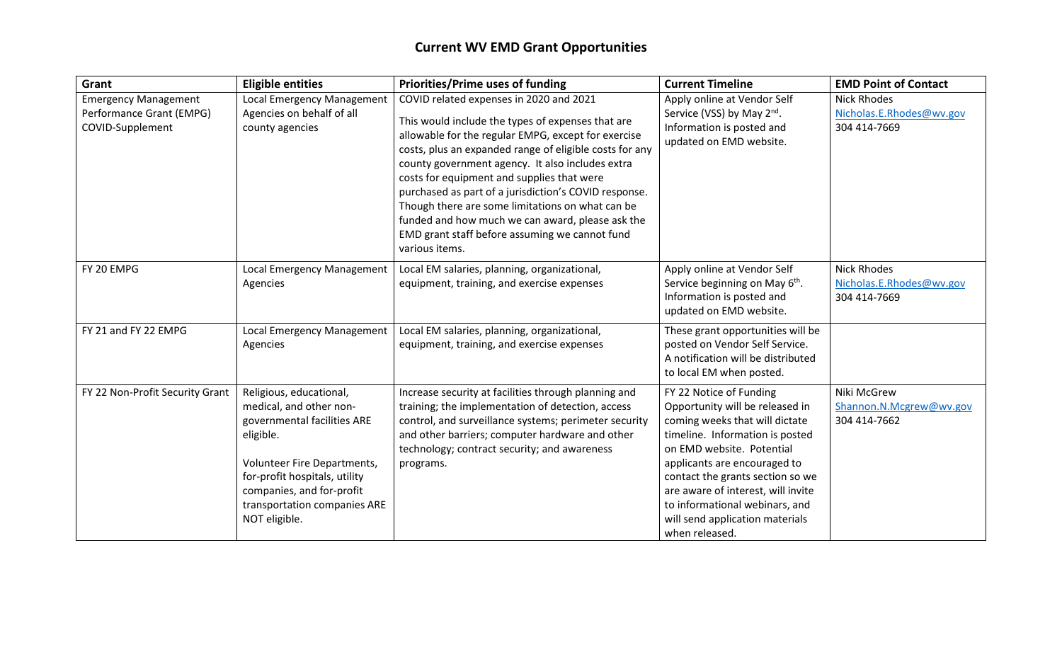## **Current WV EMD Grant Opportunities**

| Grant                                                                       | <b>Eligible entities</b>                                                                                                                                                                                                                     | <b>Priorities/Prime uses of funding</b>                                                                                                                                                                                                                                                                                                                                                                                                                                                                                                               | <b>Current Timeline</b>                                                                                                                                                                                                                                                                                                                                       | <b>EMD Point of Contact</b>                                    |
|-----------------------------------------------------------------------------|----------------------------------------------------------------------------------------------------------------------------------------------------------------------------------------------------------------------------------------------|-------------------------------------------------------------------------------------------------------------------------------------------------------------------------------------------------------------------------------------------------------------------------------------------------------------------------------------------------------------------------------------------------------------------------------------------------------------------------------------------------------------------------------------------------------|---------------------------------------------------------------------------------------------------------------------------------------------------------------------------------------------------------------------------------------------------------------------------------------------------------------------------------------------------------------|----------------------------------------------------------------|
| <b>Emergency Management</b><br>Performance Grant (EMPG)<br>COVID-Supplement | Local Emergency Management<br>Agencies on behalf of all<br>county agencies                                                                                                                                                                   | COVID related expenses in 2020 and 2021<br>This would include the types of expenses that are<br>allowable for the regular EMPG, except for exercise<br>costs, plus an expanded range of eligible costs for any<br>county government agency. It also includes extra<br>costs for equipment and supplies that were<br>purchased as part of a jurisdiction's COVID response.<br>Though there are some limitations on what can be<br>funded and how much we can award, please ask the<br>EMD grant staff before assuming we cannot fund<br>various items. | Apply online at Vendor Self<br>Service (VSS) by May 2 <sup>nd</sup> .<br>Information is posted and<br>updated on EMD website.                                                                                                                                                                                                                                 | <b>Nick Rhodes</b><br>Nicholas.E.Rhodes@wv.gov<br>304 414-7669 |
| FY 20 EMPG                                                                  | Local Emergency Management<br>Agencies                                                                                                                                                                                                       | Local EM salaries, planning, organizational,<br>equipment, training, and exercise expenses                                                                                                                                                                                                                                                                                                                                                                                                                                                            | Apply online at Vendor Self<br>Service beginning on May 6 <sup>th</sup> .<br>Information is posted and<br>updated on EMD website.                                                                                                                                                                                                                             | <b>Nick Rhodes</b><br>Nicholas.E.Rhodes@wv.gov<br>304 414-7669 |
| FY 21 and FY 22 EMPG                                                        | Local Emergency Management<br>Agencies                                                                                                                                                                                                       | Local EM salaries, planning, organizational,<br>equipment, training, and exercise expenses                                                                                                                                                                                                                                                                                                                                                                                                                                                            | These grant opportunities will be<br>posted on Vendor Self Service.<br>A notification will be distributed<br>to local EM when posted.                                                                                                                                                                                                                         |                                                                |
| FY 22 Non-Profit Security Grant                                             | Religious, educational,<br>medical, and other non-<br>governmental facilities ARE<br>eligible.<br>Volunteer Fire Departments,<br>for-profit hospitals, utility<br>companies, and for-profit<br>transportation companies ARE<br>NOT eligible. | Increase security at facilities through planning and<br>training; the implementation of detection, access<br>control, and surveillance systems; perimeter security<br>and other barriers; computer hardware and other<br>technology; contract security; and awareness<br>programs.                                                                                                                                                                                                                                                                    | FY 22 Notice of Funding<br>Opportunity will be released in<br>coming weeks that will dictate<br>timeline. Information is posted<br>on EMD website. Potential<br>applicants are encouraged to<br>contact the grants section so we<br>are aware of interest, will invite<br>to informational webinars, and<br>will send application materials<br>when released. | Niki McGrew<br>Shannon.N.Mcgrew@wv.gov<br>304 414-7662         |